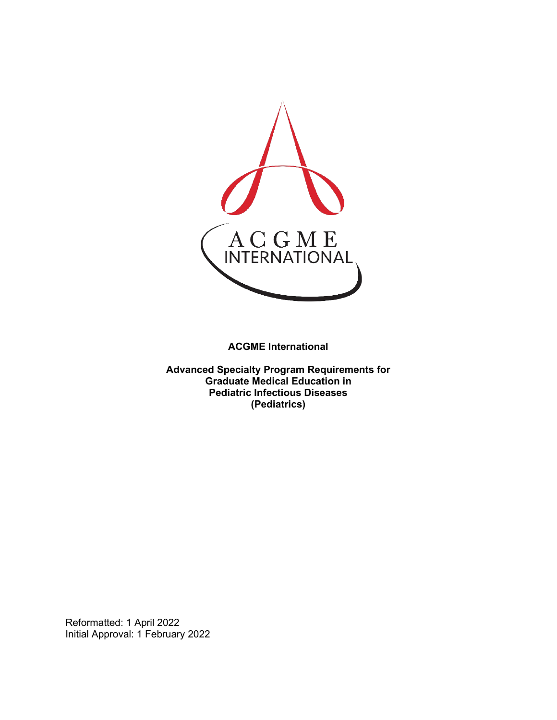

**ACGME International** 

**Advanced Specialty Program Requirements for Graduate Medical Education in Pediatric Infectious Diseases (Pediatrics)**

Reformatted: 1 April 2022 Initial Approval: 1 February 2022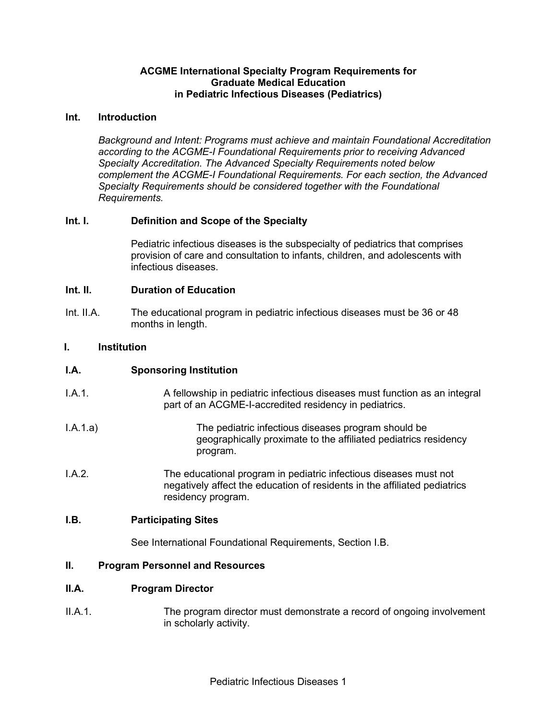## **ACGME International Specialty Program Requirements for Graduate Medical Education in Pediatric Infectious Diseases (Pediatrics)**

## **Int. Introduction**

*Background and Intent: Programs must achieve and maintain Foundational Accreditation according to the ACGME-I Foundational Requirements prior to receiving Advanced Specialty Accreditation. The Advanced Specialty Requirements noted below complement the ACGME-I Foundational Requirements. For each section, the Advanced Specialty Requirements should be considered together with the Foundational Requirements.*

## **Int. I. Definition and Scope of the Specialty**

Pediatric infectious diseases is the subspecialty of pediatrics that comprises provision of care and consultation to infants, children, and adolescents with infectious diseases.

## **Int. II. Duration of Education**

Int. II.A. The educational program in pediatric infectious diseases must be 36 or 48 months in length.

## **I. Institution**

# **I.A. Sponsoring Institution**

- I.A.1. A fellowship in pediatric infectious diseases must function as an integral part of an ACGME-I-accredited residency in pediatrics.
- I.A.1.a) The pediatric infectious diseases program should be geographically proximate to the affiliated pediatrics residency program.
- I.A.2. The educational program in pediatric infectious diseases must not negatively affect the education of residents in the affiliated pediatrics residency program.

#### **I.B. Participating Sites**

See International Foundational Requirements, Section I.B.

# **II. Program Personnel and Resources**

#### **II.A. Program Director**

II.A.1. The program director must demonstrate a record of ongoing involvement in scholarly activity.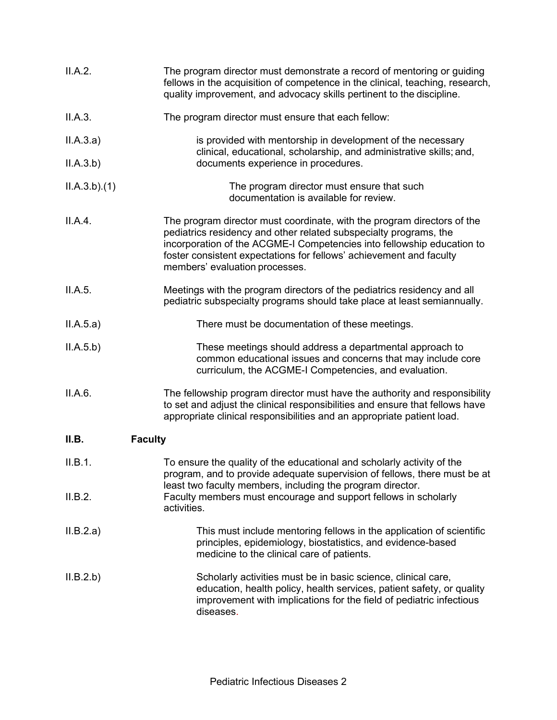| II.A.2.     | The program director must demonstrate a record of mentoring or guiding<br>fellows in the acquisition of competence in the clinical, teaching, research,<br>quality improvement, and advocacy skills pertinent to the discipline.                                                                                                |
|-------------|---------------------------------------------------------------------------------------------------------------------------------------------------------------------------------------------------------------------------------------------------------------------------------------------------------------------------------|
| II.A.3.     | The program director must ensure that each fellow:                                                                                                                                                                                                                                                                              |
| II.A.3.a)   | is provided with mentorship in development of the necessary<br>clinical, educational, scholarship, and administrative skills; and,                                                                                                                                                                                              |
| II.A.3.b)   | documents experience in procedures.                                                                                                                                                                                                                                                                                             |
| ILA.3.b)(1) | The program director must ensure that such<br>documentation is available for review.                                                                                                                                                                                                                                            |
| II.A.4.     | The program director must coordinate, with the program directors of the<br>pediatrics residency and other related subspecialty programs, the<br>incorporation of the ACGME-I Competencies into fellowship education to<br>foster consistent expectations for fellows' achievement and faculty<br>members' evaluation processes. |
| II.A.5.     | Meetings with the program directors of the pediatrics residency and all<br>pediatric subspecialty programs should take place at least semiannually.                                                                                                                                                                             |
| II.A.5.a)   | There must be documentation of these meetings.                                                                                                                                                                                                                                                                                  |
| II.A.5.b)   | These meetings should address a departmental approach to<br>common educational issues and concerns that may include core<br>curriculum, the ACGME-I Competencies, and evaluation.                                                                                                                                               |
| II.A.6.     | The fellowship program director must have the authority and responsibility<br>to set and adjust the clinical responsibilities and ensure that fellows have<br>appropriate clinical responsibilities and an appropriate patient load.                                                                                            |
| II.B.       | <b>Faculty</b>                                                                                                                                                                                                                                                                                                                  |
| II.B.1.     | To ensure the quality of the educational and scholarly activity of the<br>program, and to provide adequate supervision of fellows, there must be at                                                                                                                                                                             |
| II.B.2.     | least two faculty members, including the program director.<br>Faculty members must encourage and support fellows in scholarly<br>activities.                                                                                                                                                                                    |
| II.B.2.a)   | This must include mentoring fellows in the application of scientific<br>principles, epidemiology, biostatistics, and evidence-based<br>medicine to the clinical care of patients.                                                                                                                                               |
| II.B.2.b)   | Scholarly activities must be in basic science, clinical care,<br>education, health policy, health services, patient safety, or quality<br>improvement with implications for the field of pediatric infectious<br>diseases.                                                                                                      |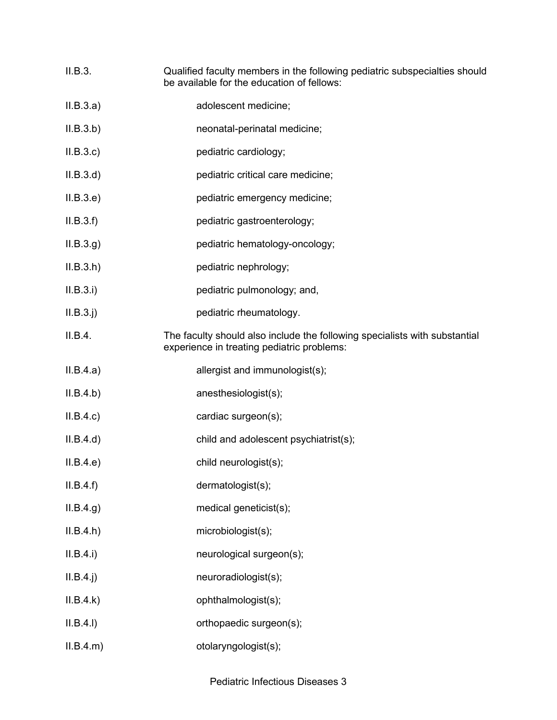- II.B.3. Qualified faculty members in the following pediatric subspecialties should be available for the education of fellows:
- II.B.3.a) adolescent medicine;
- II.B.3.b) neonatal-perinatal medicine;
- II.B.3.c) pediatric cardiology;
- II.B.3.d) pediatric critical care medicine;
- II.B.3.e) pediatric emergency medicine;
- II.B.3.f) pediatric gastroenterology;
- II.B.3.g) pediatric hematology-oncology;
- II.B.3.h) pediatric nephrology;
- II.B.3.i) pediatric pulmonology; and,
- II.B.3.j) pediatric rheumatology.
- II.B.4. The faculty should also include the following specialists with substantial experience in treating pediatric problems:
- II.B.4.a) allergist and immunologist(s);
- II.B.4.b) anesthesiologist(s);
- II.B.4.c) cardiac surgeon(s);
- II.B.4.d) child and adolescent psychiatrist(s);
- II.B.4.e) child neurologist(s);
- II.B.4.f) dermatologist(s);
- II.B.4.g) medical geneticist(s);
- II.B.4.h) microbiologist(s);
- II.B.4.i) neurological surgeon(s);
- II.B.4.j) neuroradiologist(s);
- II.B.4.k) ophthalmologist(s);
- II.B.4.l) orthopaedic surgeon(s);
- II.B.4.m) otolaryngologist(s);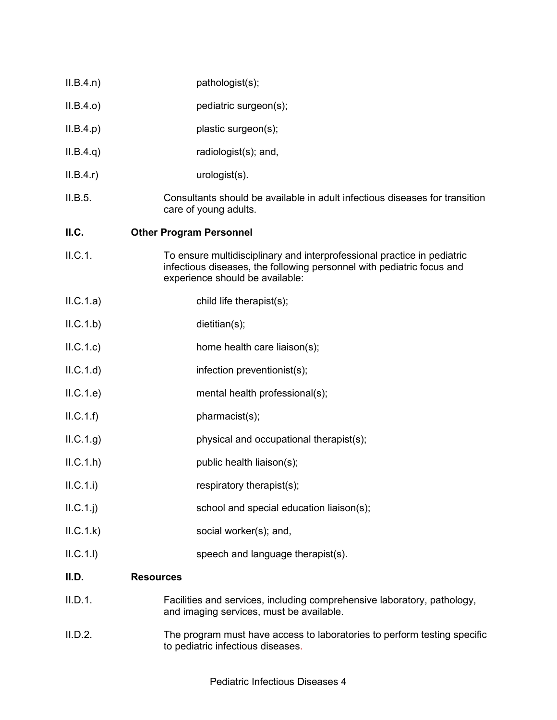| ILB.4.n)   | pathologist(s);                                                                                                                                                                     |
|------------|-------------------------------------------------------------------------------------------------------------------------------------------------------------------------------------|
| II.B.4.o   | pediatric surgeon(s);                                                                                                                                                               |
| II.B.4.p)  | plastic surgeon(s);                                                                                                                                                                 |
| II.B.4.q)  | radiologist(s); and,                                                                                                                                                                |
| II.B.4.r)  | urologist(s).                                                                                                                                                                       |
| II.B.5.    | Consultants should be available in adult infectious diseases for transition<br>care of young adults.                                                                                |
| ILC.       | <b>Other Program Personnel</b>                                                                                                                                                      |
| II.C.1.    | To ensure multidisciplinary and interprofessional practice in pediatric<br>infectious diseases, the following personnel with pediatric focus and<br>experience should be available: |
| ILC.1.a)   | child life therapist(s);                                                                                                                                                            |
| ILC.1.b)   | dietitian(s);                                                                                                                                                                       |
| ILC.1.c)   | home health care liaison(s);                                                                                                                                                        |
| ILC.1.d)   | infection preventionist(s);                                                                                                                                                         |
| ILC.1.e    | mental health professional(s);                                                                                                                                                      |
| ILC.1.f)   | pharmacist(s);                                                                                                                                                                      |
| ILC.1.g)   | physical and occupational therapist(s);                                                                                                                                             |
| ILC.1.h    | public health liaison(s);                                                                                                                                                           |
| II.C.1.i)  | respiratory therapist(s);                                                                                                                                                           |
| $ILC.1.$ j | school and special education liaison(s);                                                                                                                                            |
| ILC.1.k)   | social worker(s); and,                                                                                                                                                              |
| II.C.1.1)  | speech and language therapist(s).                                                                                                                                                   |
| II.D.      | <b>Resources</b>                                                                                                                                                                    |
| II.D.1.    | Facilities and services, including comprehensive laboratory, pathology,<br>and imaging services, must be available.                                                                 |
| II.D.2.    | The program must have access to laboratories to perform testing specific<br>to pediatric infectious diseases.                                                                       |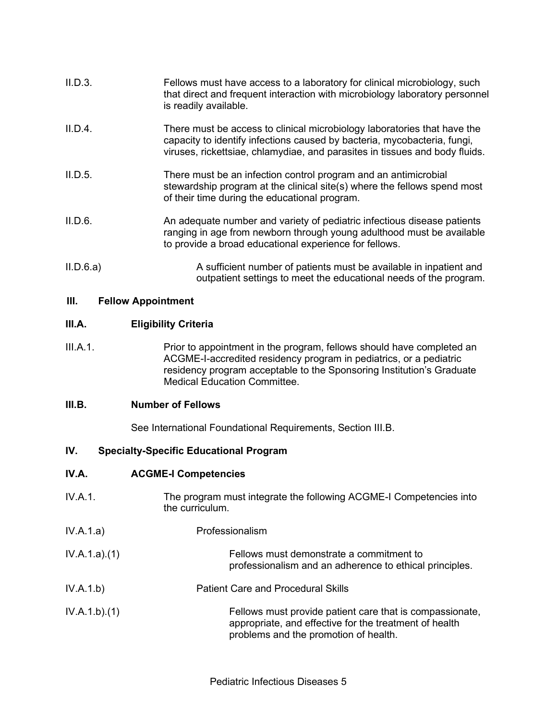| II.D.3. | Fellows must have access to a laboratory for clinical microbiology, such    |
|---------|-----------------------------------------------------------------------------|
|         | that direct and frequent interaction with microbiology laboratory personnel |
|         | is readily available.                                                       |

- II.D.4. There must be access to clinical microbiology laboratories that have the capacity to identify infections caused by bacteria, mycobacteria, fungi, viruses, rickettsiae, chlamydiae, and parasites in tissues and body fluids.
- II.D.5. There must be an infection control program and an antimicrobial stewardship program at the clinical site(s) where the fellows spend most of their time during the educational program.
- II.D.6. An adequate number and variety of pediatric infectious disease patients ranging in age from newborn through young adulthood must be available to provide a broad educational experience for fellows.
- II.D.6.a) A sufficient number of patients must be available in inpatient and outpatient settings to meet the educational needs of the program.

## **III. Fellow Appointment**

# **III.A. Eligibility Criteria**

III.A.1. Prior to appointment in the program, fellows should have completed an ACGME-I-accredited residency program in pediatrics, or a pediatric residency program acceptable to the Sponsoring Institution's Graduate Medical Education Committee.

### **III.B. Number of Fellows**

See International Foundational Requirements, Section III.B.

# **IV. Specialty-Specific Educational Program**

# **IV.A. ACGME-I Competencies**

- IV.A.1. The program must integrate the following ACGME-I Competencies into the curriculum.
- IV.A.1.a) Professionalism
- IV.A.1.a).(1) Fellows must demonstrate a commitment to professionalism and an adherence to ethical principles.
- IV.A.1.b) Patient Care and Procedural Skills
- IV.A.1.b).(1) Fellows must provide patient care that is compassionate, appropriate, and effective for the treatment of health problems and the promotion of health.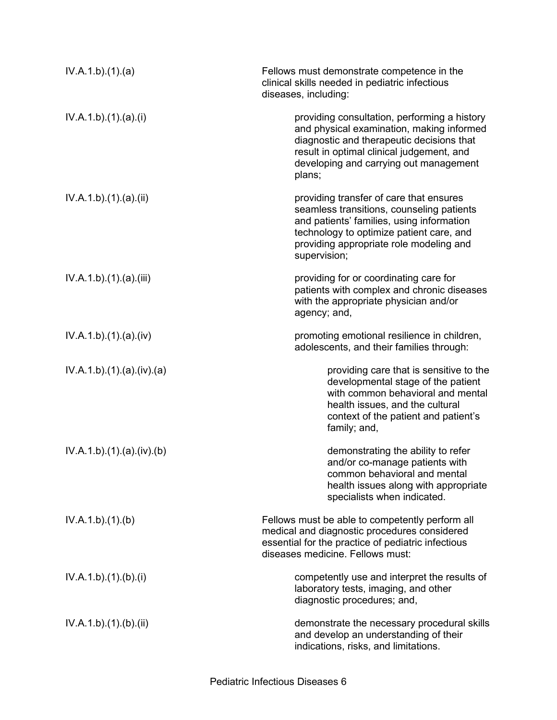| IV.A.1.b)(1)(a)         | Fellows must demonstrate competence in the<br>clinical skills needed in pediatric infectious<br>diseases, including:                                                                                                                     |
|-------------------------|------------------------------------------------------------------------------------------------------------------------------------------------------------------------------------------------------------------------------------------|
| IV.A.1.b)(1).(a)(i)     | providing consultation, performing a history<br>and physical examination, making informed<br>diagnostic and therapeutic decisions that<br>result in optimal clinical judgement, and<br>developing and carrying out management<br>plans;  |
| IV.A.1.b)(1)(a)(ii)     | providing transfer of care that ensures<br>seamless transitions, counseling patients<br>and patients' families, using information<br>technology to optimize patient care, and<br>providing appropriate role modeling and<br>supervision; |
| IV.A.1.b).(1).(a).(iii) | providing for or coordinating care for<br>patients with complex and chronic diseases<br>with the appropriate physician and/or<br>agency; and,                                                                                            |
| IV.A.1.b)(1)(a)(iv)     | promoting emotional resilience in children,<br>adolescents, and their families through:                                                                                                                                                  |
| IV.A.1.b)(1)(a)(iv)(a)  | providing care that is sensitive to the<br>developmental stage of the patient<br>with common behavioral and mental<br>health issues, and the cultural<br>context of the patient and patient's<br>family; and,                            |
| IV.A.1.b)(1)(a)(iv)(b)  | demonstrating the ability to refer<br>and/or co-manage patients with<br>common behavioral and mental<br>health issues along with appropriate<br>specialists when indicated.                                                              |
| IV.A.1.b)(1)(b)         | Fellows must be able to competently perform all<br>medical and diagnostic procedures considered<br>essential for the practice of pediatric infectious<br>diseases medicine. Fellows must:                                                |
| IV.A.1.b)(1)(b)(i)      | competently use and interpret the results of<br>laboratory tests, imaging, and other<br>diagnostic procedures; and,                                                                                                                      |
| IV.A.1.b)(1)(b)(ii)     | demonstrate the necessary procedural skills<br>and develop an understanding of their<br>indications, risks, and limitations.                                                                                                             |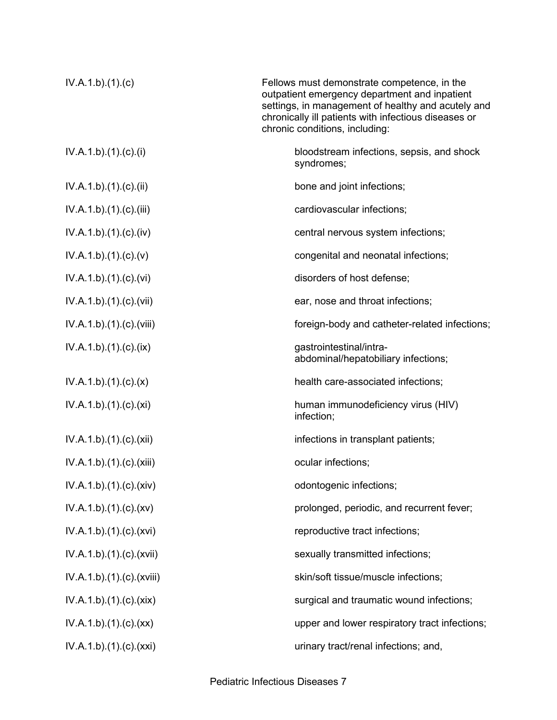| IV.A.1.b)(1)(c)           | Fellows must demonstrate competence, in the<br>outpatient emergency department and inpatient<br>settings, in management of healthy and acutely and<br>chronically ill patients with infectious diseases or<br>chronic conditions, including: |
|---------------------------|----------------------------------------------------------------------------------------------------------------------------------------------------------------------------------------------------------------------------------------------|
| IV.A.1.b)(1)(c)(i)        | bloodstream infections, sepsis, and shock<br>syndromes;                                                                                                                                                                                      |
| IV.A.1.b)(1).(c)(ii)      | bone and joint infections;                                                                                                                                                                                                                   |
| IV.A.1.b)(1)(c)(iii)      | cardiovascular infections;                                                                                                                                                                                                                   |
| IV.A.1.b)(1)(c)(iv)       | central nervous system infections;                                                                                                                                                                                                           |
| IV.A.1.b)(1)(c)(v)        | congenital and neonatal infections;                                                                                                                                                                                                          |
| IV.A.1.b)(1)(c)(vi)       | disorders of host defense;                                                                                                                                                                                                                   |
| IV.A.1.b).(1).(c).(vii)   | ear, nose and throat infections;                                                                                                                                                                                                             |
| IV.A.1.b).(1).(c).(viii)  | foreign-body and catheter-related infections;                                                                                                                                                                                                |
| IV.A.1.b)(1)(c)(ix)       | gastrointestinal/intra-<br>abdominal/hepatobiliary infections;                                                                                                                                                                               |
| IV.A.1.b)(1)(c)(x)        | health care-associated infections;                                                                                                                                                                                                           |
| IV.A.1.b)(1)(c)(xi)       | human immunodeficiency virus (HIV)<br>infection;                                                                                                                                                                                             |
| IV.A.1.b).(1).(c).(xii)   | infections in transplant patients;                                                                                                                                                                                                           |
| IV.A.1.b)(1)(c)(xiii)     | ocular infections;                                                                                                                                                                                                                           |
| IV.A.1.b).(1).(c).(xiv)   | odontogenic infections;                                                                                                                                                                                                                      |
| IV.A.1.b)(1)(c)(xv)       | prolonged, periodic, and recurrent fever;                                                                                                                                                                                                    |
| IV.A.1.b)(1)(c)(xvi)      | reproductive tract infections;                                                                                                                                                                                                               |
| IV.A.1.b)(1)(c)(xvii)     | sexually transmitted infections;                                                                                                                                                                                                             |
| IV.A.1.b).(1).(c).(xviii) | skin/soft tissue/muscle infections;                                                                                                                                                                                                          |
| IV.A.1.b)(1)(c)(xix)      | surgical and traumatic wound infections;                                                                                                                                                                                                     |
| IV.A.1.b)(1)(c)(xx)       | upper and lower respiratory tract infections;                                                                                                                                                                                                |
| IV.A.1.b).(1).(c).(xxi)   | urinary tract/renal infections; and,                                                                                                                                                                                                         |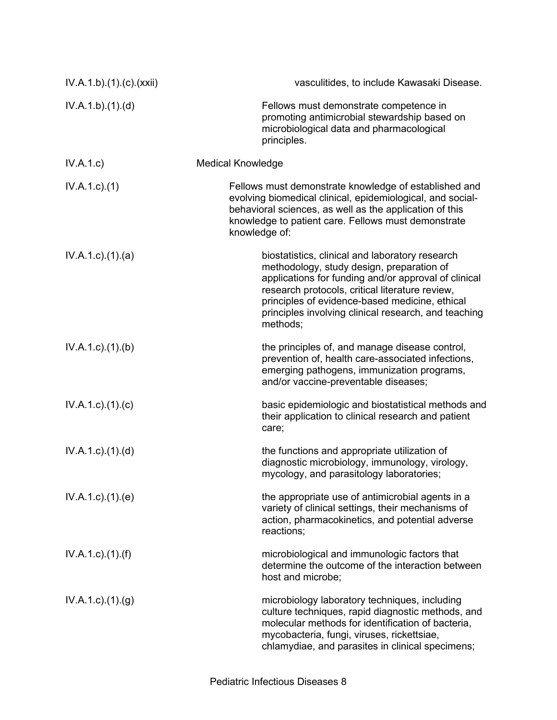| IV.A.1.b)(1)(c)(xxii)     | vasculitides, to include Kawasaki Disease.                                                                                                                                                                                                                                                                                    |
|---------------------------|-------------------------------------------------------------------------------------------------------------------------------------------------------------------------------------------------------------------------------------------------------------------------------------------------------------------------------|
| IV.A.1.b)(1)(d)           | Fellows must demonstrate competence in<br>promoting antimicrobial stewardship based on<br>microbiological data and pharmacological<br>principles.                                                                                                                                                                             |
| IV.A.1.c)                 | <b>Medical Knowledge</b>                                                                                                                                                                                                                                                                                                      |
| $IV.A.1.c.$ (1)           | Fellows must demonstrate knowledge of established and<br>evolving biomedical clinical, epidemiological, and social-<br>behavioral sciences, as well as the application of this<br>knowledge to patient care. Fellows must demonstrate<br>knowledge of:                                                                        |
| $IV.A.1.c$ . $(1).$ $(a)$ | biostatistics, clinical and laboratory research<br>methodology, study design, preparation of<br>applications for funding and/or approval of clinical<br>research protocols, critical literature review,<br>principles of evidence-based medicine, ethical<br>principles involving clinical research, and teaching<br>methods; |
| $IV.A.1.c$ . $(1).$ (b)   | the principles of, and manage disease control,<br>prevention of, health care-associated infections,<br>emerging pathogens, immunization programs,<br>and/or vaccine-preventable diseases;                                                                                                                                     |
| $IV.A.1.c$ . $(1).$ $(c)$ | basic epidemiologic and biostatistical methods and<br>their application to clinical research and patient<br>care;                                                                                                                                                                                                             |
| $IV.A.1.c.$ (1).(d)       | the functions and appropriate utilization of<br>diagnostic microbiology, immunology, virology,<br>mycology, and parasitology laboratories;                                                                                                                                                                                    |
| $IV.A.1.c.$ (1).(e)       | the appropriate use of antimicrobial agents in a<br>variety of clinical settings, their mechanisms of<br>action, pharmacokinetics, and potential adverse<br>reactions;                                                                                                                                                        |
| $IV.A.1.c$ ). $(1).(f)$   | microbiological and immunologic factors that<br>determine the outcome of the interaction between<br>host and microbe;                                                                                                                                                                                                         |
| $IV.A.1.c$ . $(1).(g)$    | microbiology laboratory techniques, including<br>culture techniques, rapid diagnostic methods, and<br>molecular methods for identification of bacteria,<br>mycobacteria, fungi, viruses, rickettsiae,<br>chlamydiae, and parasites in clinical specimens;                                                                     |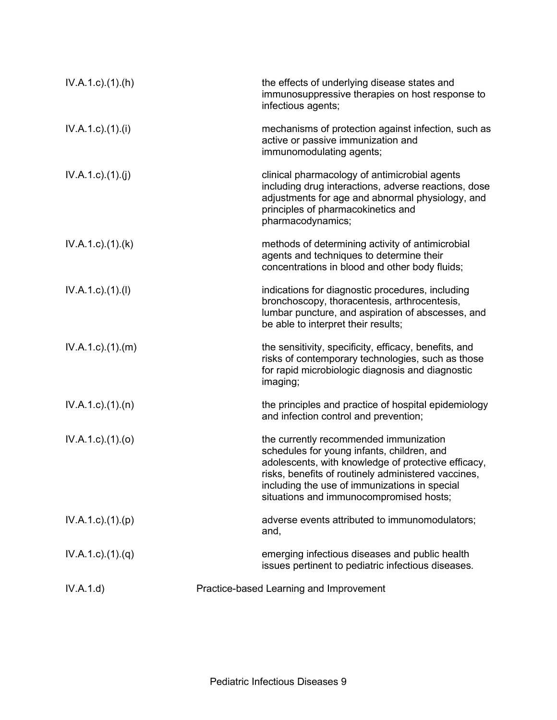| $IV.A.1.c$ . $(1).(h)$    | the effects of underlying disease states and<br>immunosuppressive therapies on host response to<br>infectious agents;                                                                                                                                                                          |
|---------------------------|------------------------------------------------------------------------------------------------------------------------------------------------------------------------------------------------------------------------------------------------------------------------------------------------|
| $IV.A.1.c$ ). $(1).$      | mechanisms of protection against infection, such as<br>active or passive immunization and<br>immunomodulating agents;                                                                                                                                                                          |
| IV.A.1.c)(1)(j)           | clinical pharmacology of antimicrobial agents<br>including drug interactions, adverse reactions, dose<br>adjustments for age and abnormal physiology, and<br>principles of pharmacokinetics and<br>pharmacodynamics;                                                                           |
| $IV.A.1.c$ . $(1).$ (k)   | methods of determining activity of antimicrobial<br>agents and techniques to determine their<br>concentrations in blood and other body fluids;                                                                                                                                                 |
| IV.A.1.c)(1)(I)           | indications for diagnostic procedures, including<br>bronchoscopy, thoracentesis, arthrocentesis,<br>lumbar puncture, and aspiration of abscesses, and<br>be able to interpret their results;                                                                                                   |
| IV.A.1.c)(1).(m)          | the sensitivity, specificity, efficacy, benefits, and<br>risks of contemporary technologies, such as those<br>for rapid microbiologic diagnosis and diagnostic<br>imaging;                                                                                                                     |
| $IV.A.1.c$ . $(1).$ $(n)$ | the principles and practice of hospital epidemiology<br>and infection control and prevention;                                                                                                                                                                                                  |
| $IV.A.1.c$ ). $(1).(o)$   | the currently recommended immunization<br>schedules for young infants, children, and<br>adolescents, with knowledge of protective efficacy,<br>risks, benefits of routinely administered vaccines,<br>including the use of immunizations in special<br>situations and immunocompromised hosts; |
| $IV.A.1.c$ . $(1).(p)$    | adverse events attributed to immunomodulators;<br>and,                                                                                                                                                                                                                                         |
| $IV.A.1.c$ . $(1).(q)$    | emerging infectious diseases and public health<br>issues pertinent to pediatric infectious diseases.                                                                                                                                                                                           |
| IV.A.1.d)                 | Practice-based Learning and Improvement                                                                                                                                                                                                                                                        |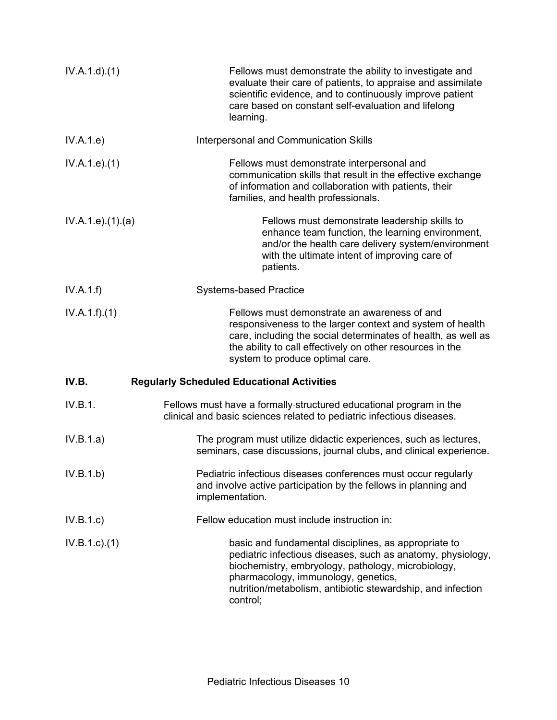| IV.A.1.d.(1)       | Fellows must demonstrate the ability to investigate and<br>evaluate their care of patients, to appraise and assimilate<br>scientific evidence, and to continuously improve patient<br>care based on constant self-evaluation and lifelong<br>learning.                                      |
|--------------------|---------------------------------------------------------------------------------------------------------------------------------------------------------------------------------------------------------------------------------------------------------------------------------------------|
| IV.A.1.e)          | Interpersonal and Communication Skills                                                                                                                                                                                                                                                      |
| IV.A.1.e. (1)      | Fellows must demonstrate interpersonal and<br>communication skills that result in the effective exchange<br>of information and collaboration with patients, their<br>families, and health professionals.                                                                                    |
| IV.A.1.e. (1). (a) | Fellows must demonstrate leadership skills to<br>enhance team function, the learning environment,<br>and/or the health care delivery system/environment<br>with the ultimate intent of improving care of<br>patients.                                                                       |
| IV.A.1.f)          | <b>Systems-based Practice</b>                                                                                                                                                                                                                                                               |
| IV.A.1.f)(1)       | Fellows must demonstrate an awareness of and<br>responsiveness to the larger context and system of health<br>care, including the social determinates of health, as well as<br>the ability to call effectively on other resources in the<br>system to produce optimal care.                  |
| IV.B.              | <b>Regularly Scheduled Educational Activities</b>                                                                                                                                                                                                                                           |
| IV.B.1.            | Fellows must have a formally-structured educational program in the<br>clinical and basic sciences related to pediatric infectious diseases.                                                                                                                                                 |
| IV.B.1.a)          | The program must utilize didactic experiences, such as lectures,<br>seminars, case discussions, journal clubs, and clinical experience.                                                                                                                                                     |
| IV.B.1.b)          | Pediatric infectious diseases conferences must occur regularly<br>and involve active participation by the fellows in planning and<br>implementation.                                                                                                                                        |
| IV.B.1.c)          | Fellow education must include instruction in:                                                                                                                                                                                                                                               |
| $IV.B.1.c.$ (1)    | basic and fundamental disciplines, as appropriate to<br>pediatric infectious diseases, such as anatomy, physiology,<br>biochemistry, embryology, pathology, microbiology,<br>pharmacology, immunology, genetics,<br>nutrition/metabolism, antibiotic stewardship, and infection<br>control; |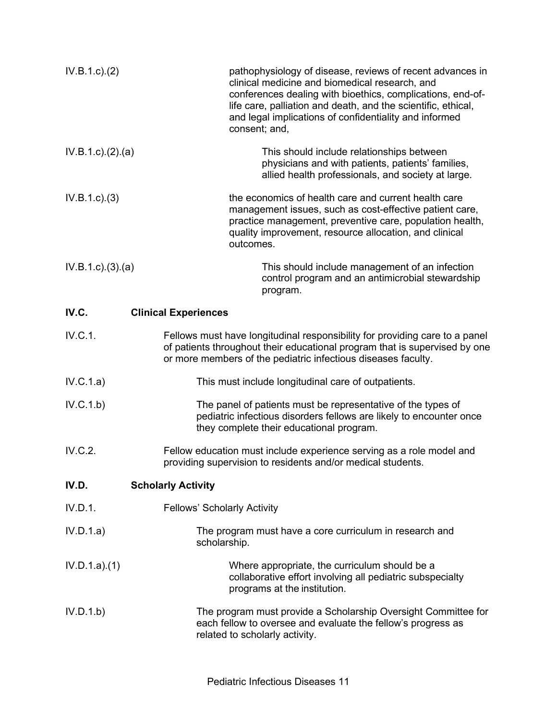| IV.B.1.c.2)         | pathophysiology of disease, reviews of recent advances in<br>clinical medicine and biomedical research, and<br>conferences dealing with bioethics, complications, end-of-<br>life care, palliation and death, and the scientific, ethical,<br>and legal implications of confidentiality and informed<br>consent; and, |
|---------------------|-----------------------------------------------------------------------------------------------------------------------------------------------------------------------------------------------------------------------------------------------------------------------------------------------------------------------|
| IV.B.1.c). (2). (a) | This should include relationships between<br>physicians and with patients, patients' families,<br>allied health professionals, and society at large.                                                                                                                                                                  |
| IV.B.1.c.3)         | the economics of health care and current health care<br>management issues, such as cost-effective patient care,<br>practice management, preventive care, population health,<br>quality improvement, resource allocation, and clinical<br>outcomes.                                                                    |
| IV.B.1.c)(3)(a)     | This should include management of an infection<br>control program and an antimicrobial stewardship<br>program.                                                                                                                                                                                                        |
| IV.C.               | <b>Clinical Experiences</b>                                                                                                                                                                                                                                                                                           |
| IV.C.1.             | Fellows must have longitudinal responsibility for providing care to a panel<br>of patients throughout their educational program that is supervised by one<br>or more members of the pediatric infectious diseases faculty.                                                                                            |
| IV.C.1.a)           | This must include longitudinal care of outpatients.                                                                                                                                                                                                                                                                   |
| IV.C.1.b)           | The panel of patients must be representative of the types of<br>pediatric infectious disorders fellows are likely to encounter once<br>they complete their educational program.                                                                                                                                       |
| IV.C.2.             | Fellow education must include experience serving as a role model and<br>providing supervision to residents and/or medical students.                                                                                                                                                                                   |
| IV.D.               | <b>Scholarly Activity</b>                                                                                                                                                                                                                                                                                             |
| IV.D.1.             | <b>Fellows' Scholarly Activity</b>                                                                                                                                                                                                                                                                                    |
| IV.D.1.a)           | The program must have a core curriculum in research and<br>scholarship.                                                                                                                                                                                                                                               |
| IV.D.1.a)(1)        | Where appropriate, the curriculum should be a<br>collaborative effort involving all pediatric subspecialty<br>programs at the institution.                                                                                                                                                                            |
| IV.D.1.b)           | The program must provide a Scholarship Oversight Committee for<br>each fellow to oversee and evaluate the fellow's progress as<br>related to scholarly activity.                                                                                                                                                      |